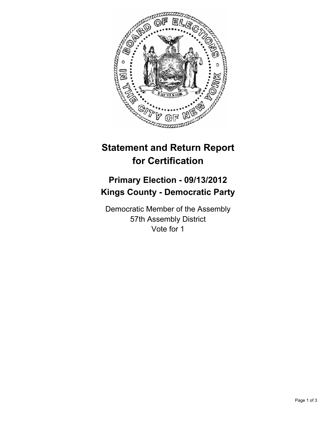

## **Statement and Return Report for Certification**

## **Primary Election - 09/13/2012 Kings County - Democratic Party**

Democratic Member of the Assembly 57th Assembly District Vote for 1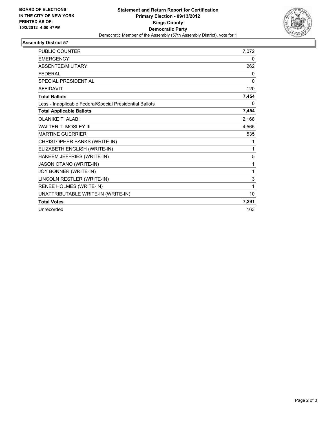

## **Assembly District 57**

| <b>PUBLIC COUNTER</b>                                    | 7,072        |
|----------------------------------------------------------|--------------|
| <b>EMERGENCY</b>                                         | 0            |
| ABSENTEE/MILITARY                                        | 262          |
| <b>FFDFRAL</b>                                           | 0            |
| <b>SPECIAL PRESIDENTIAL</b>                              | $\mathbf{0}$ |
| <b>AFFIDAVIT</b>                                         | 120          |
| <b>Total Ballots</b>                                     | 7,454        |
| Less - Inapplicable Federal/Special Presidential Ballots | 0            |
| <b>Total Applicable Ballots</b>                          | 7,454        |
| <b>OLANIKE T. ALABI</b>                                  | 2,168        |
| <b>WALTER T. MOSLEY III</b>                              | 4,565        |
| <b>MARTINE GUERRIER</b>                                  | 535          |
| CHRISTOPHER BANKS (WRITE-IN)                             | 1            |
| ELIZABETH ENGLISH (WRITE-IN)                             | 1            |
| HAKEEM JEFFRIES (WRITE-IN)                               | 5            |
| <b>JASON OTANO (WRITE-IN)</b>                            | 1            |
| JOY BONNER (WRITE-IN)                                    | 1            |
| LINCOLN RESTLER (WRITE-IN)                               | 3            |
| RENEE HOLMES (WRITE-IN)                                  | 1            |
| UNATTRIBUTABLE WRITE-IN (WRITE-IN)                       | 10           |
| <b>Total Votes</b>                                       | 7,291        |
| Unrecorded                                               | 163          |